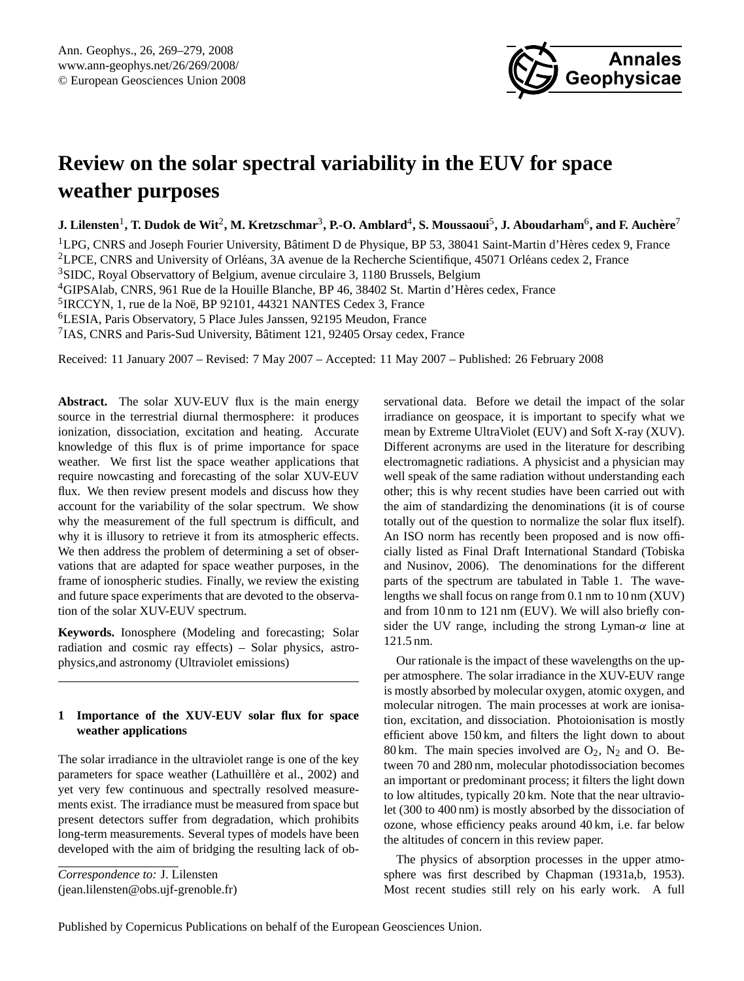

# <span id="page-0-0"></span>**Review on the solar spectral variability in the EUV for space weather purposes**

 ${\bf J.}$  Lilensten $^1$ , T. Dudok de Wit<sup>2</sup>, M. Kretzschmar $^3$ , P.-O. Amblard $^4$ , S. Moussaoui $^5$ , J. Aboudarham $^6$ , and F. Auchère $^7$ 

 $1LPG$ , CNRS and Joseph Fourier University, Bâtiment D de Physique, BP 53, 38041 Saint-Martin d'Hères cedex 9, France <sup>2</sup>LPCE, CNRS and University of Orléans, 3A avenue de la Recherche Scientifique, 45071 Orléans cedex 2, France <sup>3</sup>SIDC, Royal Observattory of Belgium, avenue circulaire 3, 1180 Brussels, Belgium <sup>4</sup>GIPSAlab, CNRS, 961 Rue de la Houille Blanche, BP 46, 38402 St. Martin d'Heres cedex, France ` <sup>5</sup>IRCCYN, 1, rue de la Noë, BP 92101, 44321 NANTES Cedex 3, France <sup>6</sup>LESIA, Paris Observatory, 5 Place Jules Janssen, 92195 Meudon, France <sup>7</sup>IAS, CNRS and Paris-Sud University, Bâtiment 121, 92405 Orsay cedex, France

Received: 11 January 2007 – Revised: 7 May 2007 – Accepted: 11 May 2007 – Published: 26 February 2008

**Abstract.** The solar XUV-EUV flux is the main energy source in the terrestrial diurnal thermosphere: it produces ionization, dissociation, excitation and heating. Accurate knowledge of this flux is of prime importance for space weather. We first list the space weather applications that require nowcasting and forecasting of the solar XUV-EUV flux. We then review present models and discuss how they account for the variability of the solar spectrum. We show why the measurement of the full spectrum is difficult, and why it is illusory to retrieve it from its atmospheric effects. We then address the problem of determining a set of observations that are adapted for space weather purposes, in the frame of ionospheric studies. Finally, we review the existing and future space experiments that are devoted to the observation of the solar XUV-EUV spectrum.

**Keywords.** Ionosphere (Modeling and forecasting; Solar radiation and cosmic ray effects) – Solar physics, astrophysics,and astronomy (Ultraviolet emissions)

# **1 Importance of the XUV-EUV solar flux for space weather applications**

The solar irradiance in the ultraviolet range is one of the key parameters for space weather (Lathuillère et al., [2002\)](#page-8-0) and yet very few continuous and spectrally resolved measurements exist. The irradiance must be measured from space but present detectors suffer from degradation, which prohibits long-term measurements. Several types of models have been developed with the aim of bridging the resulting lack of ob-

*Correspondence to:* J. Lilensten

(jean.lilensten@obs.ujf-grenoble.fr)

servational data. Before we detail the impact of the solar irradiance on geospace, it is important to specify what we mean by Extreme UltraViolet (EUV) and Soft X-ray (XUV). Different acronyms are used in the literature for describing electromagnetic radiations. A physicist and a physician may well speak of the same radiation without understanding each other; this is why recent studies have been carried out with the aim of standardizing the denominations (it is of course totally out of the question to normalize the solar flux itself). An ISO norm has recently been proposed and is now officially listed as Final Draft International Standard [\(Tobiska](#page-9-0) [and Nusinov,](#page-9-0) [2006\)](#page-9-0). The denominations for the different parts of the spectrum are tabulated in Table [1.](#page-1-0) The wavelengths we shall focus on range from 0.1 nm to 10 nm (XUV) and from 10 nm to 121 nm (EUV). We will also briefly consider the UV range, including the strong Lyman- $\alpha$  line at 121.5 nm.

Our rationale is the impact of these wavelengths on the upper atmosphere. The solar irradiance in the XUV-EUV range is mostly absorbed by molecular oxygen, atomic oxygen, and molecular nitrogen. The main processes at work are ionisation, excitation, and dissociation. Photoionisation is mostly efficient above 150 km, and filters the light down to about 80 km. The main species involved are  $O_2$ ,  $N_2$  and O. Between 70 and 280 nm, molecular photodissociation becomes an important or predominant process; it filters the light down to low altitudes, typically 20 km. Note that the near ultraviolet (300 to 400 nm) is mostly absorbed by the dissociation of ozone, whose efficiency peaks around 40 km, i.e. far below the altitudes of concern in this review paper.

The physics of absorption processes in the upper atmosphere was first described by [Chapman](#page-8-1) [\(1931a,](#page-8-1)[b,](#page-8-2) [1953\)](#page-8-3). Most recent studies still rely on his early work. A full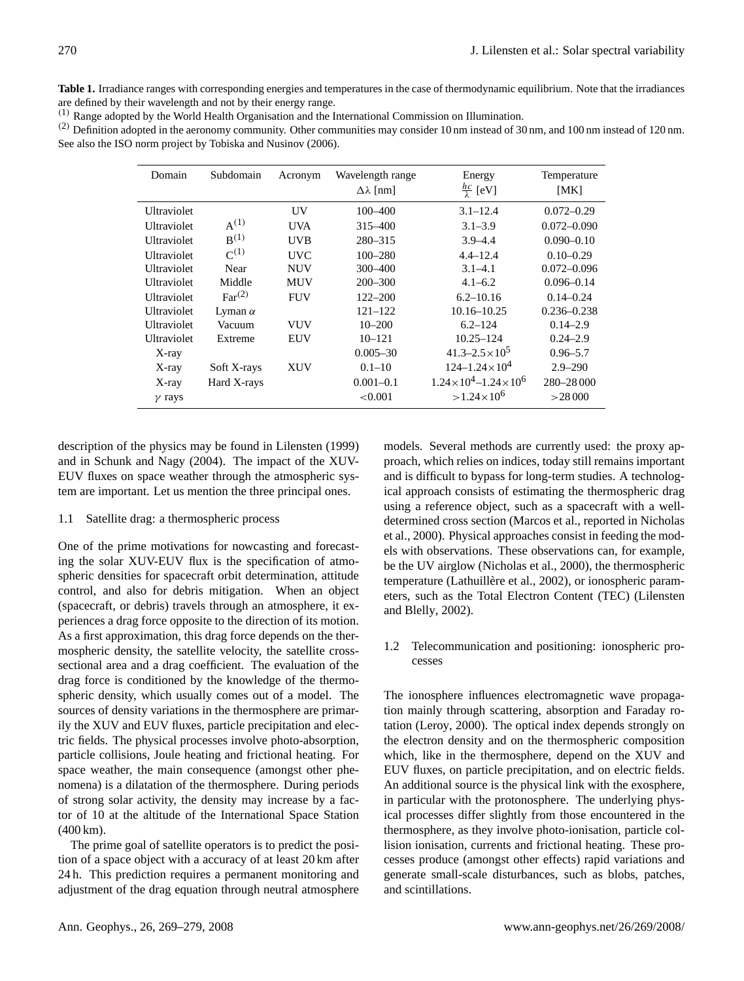<span id="page-1-0"></span>**Table 1.** Irradiance ranges with corresponding energies and temperatures in the case of thermodynamic equilibrium. Note that the irradiances are defined by their wavelength and not by their energy range.

(1) Range adopted by the World Health Organisation and the International Commission on Illumination.

 $^{(2)}$  Definition adopted in the aeronomy community. Other communities may consider 10 nm instead of 30 nm, and 100 nm instead of 120 nm. See also the ISO norm project by [Tobiska and Nusinov](#page-9-0) [\(2006\)](#page-9-0).

| Domain             | Subdomain      | Acronym    | Wavelength range<br>Energy<br>$\frac{hc}{\lambda}$ [eV]<br>$\Delta\lambda$ [nm] |                                       | Temperature<br>[MK] |
|--------------------|----------------|------------|---------------------------------------------------------------------------------|---------------------------------------|---------------------|
| Ultraviolet        |                | UV         | $100 - 400$                                                                     | $3.1 - 12.4$                          | $0.072 - 0.29$      |
| Ultraviolet        | $A^{(1)}$      | <b>UVA</b> | 315-400                                                                         | $3.1 - 3.9$                           | $0.072 - 0.090$     |
| Ultraviolet        | $R^{(1)}$      | <b>UVB</b> | 280-315                                                                         | $3.9 - 4.4$                           | $0.090 - 0.10$      |
| <b>Ultraviolet</b> | $C^{(1)}$      | <b>UVC</b> | $100 - 280$                                                                     | $4.4 - 12.4$                          | $0.10 - 0.29$       |
| Ultraviolet        | Near           | <b>NUV</b> | 300-400                                                                         | $3.1 - 4.1$                           | $0.072 - 0.096$     |
| Ultraviolet        | Middle         | <b>MUV</b> | $200 - 300$                                                                     | $4.1 - 6.2$                           | $0.096 - 0.14$      |
| <b>Ultraviolet</b> | $Far^{(2)}$    | <b>FUV</b> | $122 - 200$                                                                     | $6.2 - 10.16$                         | $0.14 - 0.24$       |
| Ultraviolet        | Lyman $\alpha$ |            | $121 - 122$                                                                     | 10.16-10.25                           | $0.236 - 0.238$     |
| Ultraviolet        | Vacuum         | <b>VUV</b> | $10 - 200$                                                                      | $6.2 - 124$                           | $0.14 - 2.9$        |
| Ultraviolet        | Extreme        | EUV        | $10 - 121$                                                                      | $10.25 - 124$                         | $0.24 - 2.9$        |
| $X$ -ray           |                |            | $0.005 - 30$                                                                    | $41.3 - 2.5 \times 10^5$              | $0.96 - 5.7$        |
| X-ray              | Soft X-rays    | XUV        | $0.1 - 10$                                                                      | $124 - 1.24 \times 10^4$              | $2.9 - 290$         |
| $X$ -ray           | Hard X-rays    |            | $0.001 - 0.1$                                                                   | $1.24\times10^{4} - 1.24\times10^{6}$ | 280-28 000          |
| $\gamma$ rays      |                |            | ${<}0.001$                                                                      | $>1.24\times10^{6}$                   | >28000              |

description of the physics may be found in [Lilensten](#page-8-4) [\(1999\)](#page-8-4) and in [Schunk and Nagy](#page-9-1) [\(2004\)](#page-9-1). The impact of the XUV-EUV fluxes on space weather through the atmospheric system are important. Let us mention the three principal ones.

## 1.1 Satellite drag: a thermospheric process

One of the prime motivations for nowcasting and forecasting the solar XUV-EUV flux is the specification of atmospheric densities for spacecraft orbit determination, attitude control, and also for debris mitigation. When an object (spacecraft, or debris) travels through an atmosphere, it experiences a drag force opposite to the direction of its motion. As a first approximation, this drag force depends on the thermospheric density, the satellite velocity, the satellite crosssectional area and a drag coefficient. The evaluation of the drag force is conditioned by the knowledge of the thermospheric density, which usually comes out of a model. The sources of density variations in the thermosphere are primarily the XUV and EUV fluxes, particle precipitation and electric fields. The physical processes involve photo-absorption, particle collisions, Joule heating and frictional heating. For space weather, the main consequence (amongst other phenomena) is a dilatation of the thermosphere. During periods of strong solar activity, the density may increase by a factor of 10 at the altitude of the International Space Station  $(400 \,\mathrm{km})$ .

The prime goal of satellite operators is to predict the position of a space object with a accuracy of at least 20 km after 24 h. This prediction requires a permanent monitoring and adjustment of the drag equation through neutral atmosphere models. Several methods are currently used: the proxy approach, which relies on indices, today still remains important and is difficult to bypass for long-term studies. A technological approach consists of estimating the thermospheric drag using a reference object, such as a spacecraft with a welldetermined cross section (Marcos et al., reported in [Nicholas](#page-9-2) [et al.,](#page-9-2) [2000\)](#page-9-2). Physical approaches consist in feeding the models with observations. These observations can, for example, be the UV airglow [\(Nicholas et al.,](#page-9-2) [2000\)](#page-9-2), the thermospheric temperature (Lathuillère et al., [2002\)](#page-8-5), or ionospheric parameters, such as the Total Electron Content (TEC) [\(Lilensten](#page-9-3) [and Blelly,](#page-9-3) [2002\)](#page-9-3).

1.2 Telecommunication and positioning: ionospheric processes

The ionosphere influences electromagnetic wave propagation mainly through scattering, absorption and Faraday rotation [\(Leroy,](#page-8-6) [2000\)](#page-8-6). The optical index depends strongly on the electron density and on the thermospheric composition which, like in the thermosphere, depend on the XUV and EUV fluxes, on particle precipitation, and on electric fields. An additional source is the physical link with the exosphere, in particular with the protonosphere. The underlying physical processes differ slightly from those encountered in the thermosphere, as they involve photo-ionisation, particle collision ionisation, currents and frictional heating. These processes produce (amongst other effects) rapid variations and generate small-scale disturbances, such as blobs, patches, and scintillations.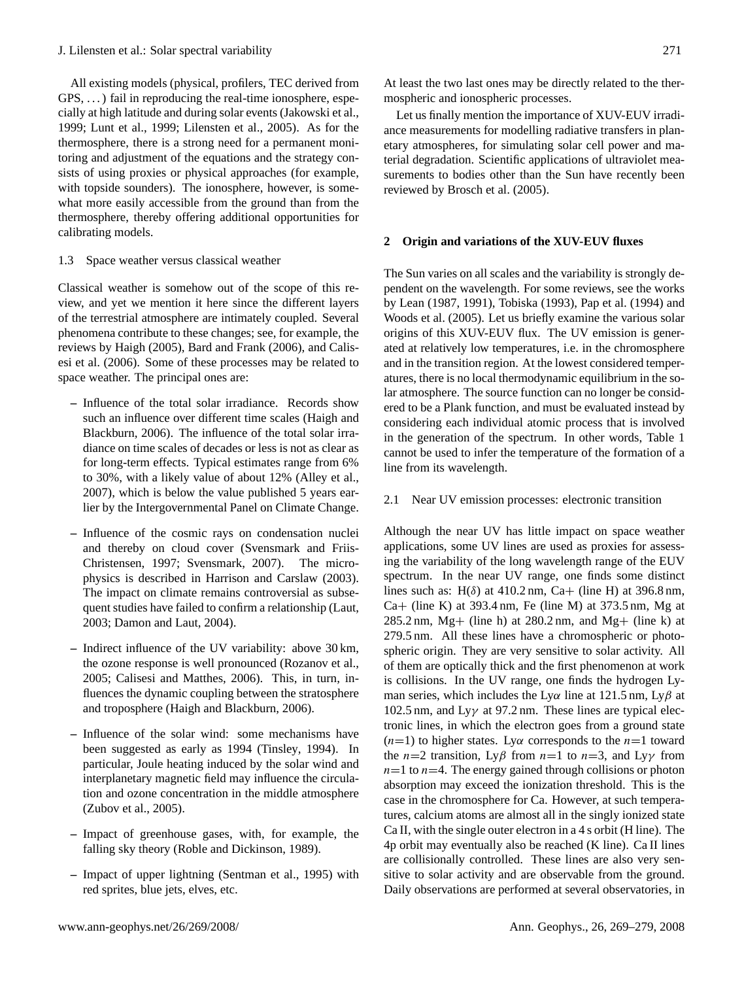# J. Lilensten et al.: Solar spectral variability 271

All existing models (physical, profilers, TEC derived from GPS, ...) fail in reproducing the real-time ionosphere, especially at high latitude and during solar events [\(Jakowski et al.,](#page-8-7) [1999;](#page-8-7) [Lunt et al.,](#page-9-4) [1999;](#page-9-4) [Lilensten et al.,](#page-9-5) [2005\)](#page-9-5). As for the thermosphere, there is a strong need for a permanent monitoring and adjustment of the equations and the strategy consists of using proxies or physical approaches (for example, with topside sounders). The ionosphere, however, is somewhat more easily accessible from the ground than from the thermosphere, thereby offering additional opportunities for calibrating models.

1.3 Space weather versus classical weather

Classical weather is somehow out of the scope of this review, and yet we mention it here since the different layers of the terrestrial atmosphere are intimately coupled. Several phenomena contribute to these changes; see, for example, the reviews by [Haigh](#page-8-8) [\(2005\)](#page-8-8), [Bard and Frank](#page-7-0) [\(2006\)](#page-7-0), and [Calis](#page-7-1)[esi et al.](#page-7-1) [\(2006\)](#page-7-1). Some of these processes may be related to space weather. The principal ones are:

- **–** Influence of the total solar irradiance. Records show such an influence over different time scales [\(Haigh and](#page-8-9) [Blackburn,](#page-8-9) [2006\)](#page-8-9). The influence of the total solar irradiance on time scales of decades or less is not as clear as for long-term effects. Typical estimates range from 6% to 30%, with a likely value of about 12% [\(Alley et al.,](#page-7-2) [2007\)](#page-7-2), which is below the value published 5 years earlier by the Intergovernmental Panel on Climate Change.
- **–** Influence of the cosmic rays on condensation nuclei and thereby on cloud cover [\(Svensmark and Friis-](#page-9-6)[Christensen,](#page-9-6) [1997;](#page-9-6) [Svensmark,](#page-9-7) [2007\)](#page-9-7). The microphysics is described in [Harrison and Carslaw](#page-8-10) [\(2003\)](#page-8-10). The impact on climate remains controversial as subsequent studies have failed to confirm a relationship [\(Laut,](#page-8-11) [2003;](#page-8-11) [Damon and Laut,](#page-8-12) [2004\)](#page-8-12).
- **–** Indirect influence of the UV variability: above 30 km, the ozone response is well pronounced [\(Rozanov et al.,](#page-9-8) [2005;](#page-9-8) [Calisesi and Matthes,](#page-7-3) [2006\)](#page-7-3). This, in turn, influences the dynamic coupling between the stratosphere and troposphere [\(Haigh and Blackburn,](#page-8-9) [2006\)](#page-8-9).
- **–** Influence of the solar wind: some mechanisms have been suggested as early as 1994 [\(Tinsley,](#page-9-9) [1994\)](#page-9-9). In particular, Joule heating induced by the solar wind and interplanetary magnetic field may influence the circulation and ozone concentration in the middle atmosphere [\(Zubov et al.,](#page-10-0) [2005\)](#page-10-0).
- **–** Impact of greenhouse gases, with, for example, the falling sky theory [\(Roble and Dickinson,](#page-9-10) [1989\)](#page-9-10).
- **–** Impact of upper lightning [\(Sentman et al.,](#page-9-11) [1995\)](#page-9-11) with red sprites, blue jets, elves, etc.

At least the two last ones may be directly related to the thermospheric and ionospheric processes.

Let us finally mention the importance of XUV-EUV irradiance measurements for modelling radiative transfers in planetary atmospheres, for simulating solar cell power and material degradation. Scientific applications of ultraviolet measurements to bodies other than the Sun have recently been reviewed by [Brosch et al.](#page-7-4) [\(2005\)](#page-7-4).

#### **2 Origin and variations of the XUV-EUV fluxes**

The Sun varies on all scales and the variability is strongly dependent on the wavelength. For some reviews, see the works by [Lean](#page-8-13) [\(1987,](#page-8-13) [1991\)](#page-8-14), [Tobiska](#page-9-12) [\(1993\)](#page-9-12), [Pap et al.](#page-9-13) [\(1994\)](#page-9-13) and [Woods et al.](#page-10-1) [\(2005\)](#page-10-1). Let us briefly examine the various solar origins of this XUV-EUV flux. The UV emission is generated at relatively low temperatures, i.e. in the chromosphere and in the transition region. At the lowest considered temperatures, there is no local thermodynamic equilibrium in the solar atmosphere. The source function can no longer be considered to be a Plank function, and must be evaluated instead by considering each individual atomic process that is involved in the generation of the spectrum. In other words, Table [1](#page-1-0) cannot be used to infer the temperature of the formation of a line from its wavelength.

## 2.1 Near UV emission processes: electronic transition

Although the near UV has little impact on space weather applications, some UV lines are used as proxies for assessing the variability of the long wavelength range of the EUV spectrum. In the near UV range, one finds some distinct lines such as:  $H(\delta)$  at 410.2 nm, Ca+ (line H) at 396.8 nm, Ca+ (line K) at 393.4 nm, Fe (line M) at 373.5 nm, Mg at  $285.2$  nm, Mg+ (line h) at  $280.2$  nm, and Mg+ (line k) at 279.5 nm. All these lines have a chromospheric or photospheric origin. They are very sensitive to solar activity. All of them are optically thick and the first phenomenon at work is collisions. In the UV range, one finds the hydrogen Lyman series, which includes the Ly $\alpha$  line at 121.5 nm, Ly $\beta$  at 102.5 nm, and Ly $\gamma$  at 97.2 nm. These lines are typical electronic lines, in which the electron goes from a ground state  $(n=1)$  to higher states. Ly $\alpha$  corresponds to the  $n=1$  toward the  $n=2$  transition, Ly $\beta$  from  $n=1$  to  $n=3$ , and Ly $\gamma$  from  $n=1$  to  $n=4$ . The energy gained through collisions or photon absorption may exceed the ionization threshold. This is the case in the chromosphere for Ca. However, at such temperatures, calcium atoms are almost all in the singly ionized state Ca II, with the single outer electron in a 4 s orbit (H line). The 4p orbit may eventually also be reached (K line). Ca II lines are collisionally controlled. These lines are also very sensitive to solar activity and are observable from the ground. Daily observations are performed at several observatories, in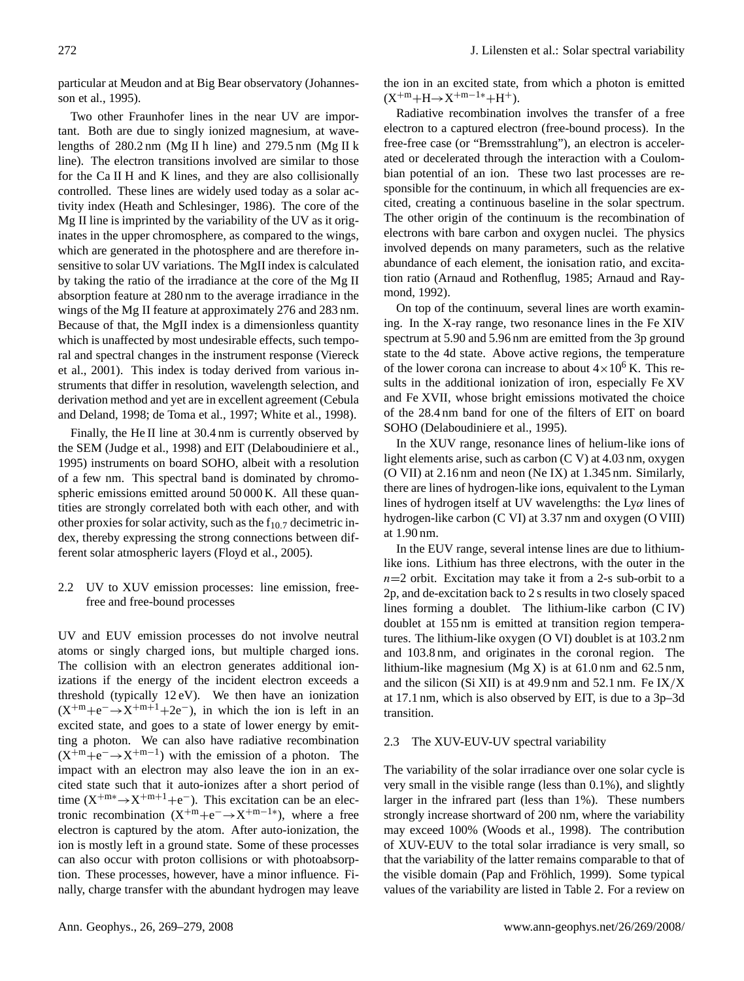particular at Meudon and at Big Bear observatory [\(Johannes](#page-8-15)[son et al.,](#page-8-15) [1995\)](#page-8-15).

Two other Fraunhofer lines in the near UV are important. Both are due to singly ionized magnesium, at wavelengths of 280.2 nm (Mg II h line) and 279.5 nm (Mg II k line). The electron transitions involved are similar to those for the Ca II H and K lines, and they are also collisionally controlled. These lines are widely used today as a solar activity index [\(Heath and Schlesinger,](#page-8-16) [1986\)](#page-8-16). The core of the Mg II line is imprinted by the variability of the UV as it originates in the upper chromosphere, as compared to the wings, which are generated in the photosphere and are therefore insensitive to solar UV variations. The MgII index is calculated by taking the ratio of the irradiance at the core of the Mg II absorption feature at 280 nm to the average irradiance in the wings of the Mg II feature at approximately 276 and 283 nm. Because of that, the MgII index is a dimensionless quantity which is unaffected by most undesirable effects, such temporal and spectral changes in the instrument response [\(Viereck](#page-10-2) [et al.,](#page-10-2) [2001\)](#page-10-2). This index is today derived from various instruments that differ in resolution, wavelength selection, and derivation method and yet are in excellent agreement [\(Cebula](#page-7-5) [and Deland,](#page-7-5) [1998;](#page-7-5) [de Toma et al.,](#page-8-17) [1997;](#page-8-17) [White et al.,](#page-10-3) [1998\)](#page-10-3).

Finally, the He II line at 30.4 nm is currently observed by the SEM [\(Judge et al.,](#page-8-18) [1998\)](#page-8-18) and EIT [\(Delaboudiniere et al.,](#page-8-19) [1995\)](#page-8-19) instruments on board SOHO, albeit with a resolution of a few nm. This spectral band is dominated by chromospheric emissions emitted around 50 000 K. All these quantities are strongly correlated both with each other, and with other proxies for solar activity, such as the  $f_{10.7}$  decimetric index, thereby expressing the strong connections between different solar atmospheric layers [\(Floyd et al.,](#page-8-20) [2005\)](#page-8-20).

2.2 UV to XUV emission processes: line emission, freefree and free-bound processes

UV and EUV emission processes do not involve neutral atoms or singly charged ions, but multiple charged ions. The collision with an electron generates additional ionizations if the energy of the incident electron exceeds a threshold (typically 12 eV). We then have an ionization  $(X^{+m} + e^- \rightarrow X^{+m+1} + 2e^-)$ , in which the ion is left in an excited state, and goes to a state of lower energy by emitting a photon. We can also have radiative recombination  $(X^{+m} + e^- \rightarrow X^{+m-1})$  with the emission of a photon. The impact with an electron may also leave the ion in an excited state such that it auto-ionizes after a short period of time  $(X^{+m*} \rightarrow X^{+m+1}+e^-)$ . This excitation can be an electronic recombination  $(X^{+m} + e^- \rightarrow X^{+m-1*})$ , where a free electron is captured by the atom. After auto-ionization, the ion is mostly left in a ground state. Some of these processes can also occur with proton collisions or with photoabsorption. These processes, however, have a minor influence. Finally, charge transfer with the abundant hydrogen may leave the ion in an excited state, from which a photon is emitted  $(X^{+m} + H \rightarrow X^{+m-1*} + H^{+}).$ 

Radiative recombination involves the transfer of a free electron to a captured electron (free-bound process). In the free-free case (or "Bremsstrahlung"), an electron is accelerated or decelerated through the interaction with a Coulombian potential of an ion. These two last processes are responsible for the continuum, in which all frequencies are excited, creating a continuous baseline in the solar spectrum. The other origin of the continuum is the recombination of electrons with bare carbon and oxygen nuclei. The physics involved depends on many parameters, such as the relative abundance of each element, the ionisation ratio, and excitation ratio [\(Arnaud and Rothenflug,](#page-7-6) [1985;](#page-7-6) [Arnaud and Ray](#page-7-7)[mond,](#page-7-7) [1992\)](#page-7-7).

On top of the continuum, several lines are worth examining. In the X-ray range, two resonance lines in the Fe XIV spectrum at 5.90 and 5.96 nm are emitted from the 3p ground state to the 4d state. Above active regions, the temperature of the lower corona can increase to about  $4 \times 10^6$  K. This results in the additional ionization of iron, especially Fe XV and Fe XVII, whose bright emissions motivated the choice of the 28.4 nm band for one of the filters of EIT on board SOHO [\(Delaboudiniere et al.,](#page-8-19) [1995\)](#page-8-19).

In the XUV range, resonance lines of helium-like ions of light elements arise, such as carbon (C V) at 4.03 nm, oxygen (O VII) at 2.16 nm and neon (Ne IX) at 1.345 nm. Similarly, there are lines of hydrogen-like ions, equivalent to the Lyman lines of hydrogen itself at UV wavelengths: the  $Ly\alpha$  lines of hydrogen-like carbon (C VI) at 3.37 nm and oxygen (O VIII) at 1.90 nm.

In the EUV range, several intense lines are due to lithiumlike ions. Lithium has three electrons, with the outer in the  $n=2$  orbit. Excitation may take it from a 2-s sub-orbit to a 2p, and de-excitation back to 2 s results in two closely spaced lines forming a doublet. The lithium-like carbon (C IV) doublet at 155 nm is emitted at transition region temperatures. The lithium-like oxygen (O VI) doublet is at 103.2 nm and 103.8 nm, and originates in the coronal region. The lithium-like magnesium (Mg X) is at 61.0 nm and 62.5 nm, and the silicon (Si XII) is at 49.9 nm and 52.1 nm. Fe IX/X at 17.1 nm, which is also observed by EIT, is due to a 3p–3d transition.

### 2.3 The XUV-EUV-UV spectral variability

The variability of the solar irradiance over one solar cycle is very small in the visible range (less than 0.1%), and slightly larger in the infrared part (less than 1%). These numbers strongly increase shortward of 200 nm, where the variability may exceed 100% [\(Woods et al.,](#page-10-4) [1998\)](#page-10-4). The contribution of XUV-EUV to the total solar irradiance is very small, so that the variability of the latter remains comparable to that of the visible domain (Pap and Fröhlich, [1999\)](#page-9-14). Some typical values of the variability are listed in Table [2.](#page-4-0) For a review on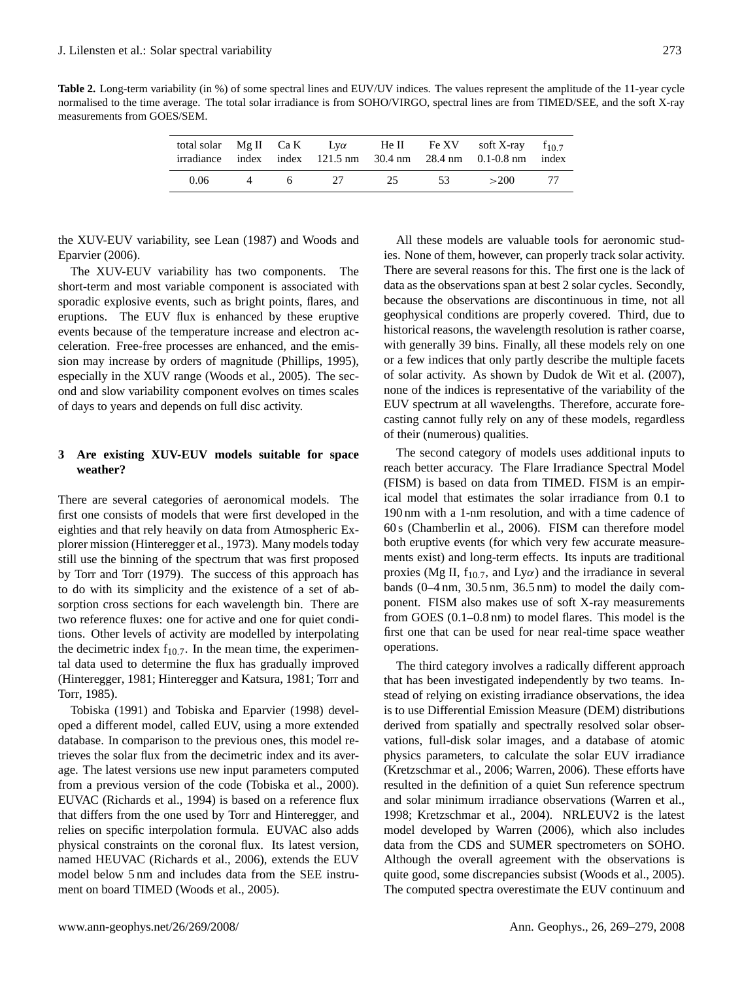<span id="page-4-0"></span>measurements from GOES/SEM.

| total solar $Mg \amalg Ca K$ Ly $\alpha$ |    |    |    |      | He II Fe XV soft X-ray $f_{10.7}$<br>irradiance index index $121.5 \text{ nm}$ $30.4 \text{ nm}$ $28.4 \text{ nm}$ $0.1 - 0.8 \text{ nm}$ index |    |
|------------------------------------------|----|----|----|------|-------------------------------------------------------------------------------------------------------------------------------------------------|----|
| 0.06                                     | 6. | 27 | 25 | -53. | >200                                                                                                                                            | 77 |

the XUV-EUV variability, see [Lean](#page-8-13) [\(1987\)](#page-8-13) and [Woods and](#page-10-5) [Eparvier](#page-10-5) [\(2006\)](#page-10-5).

The XUV-EUV variability has two components. The short-term and most variable component is associated with sporadic explosive events, such as bright points, flares, and eruptions. The EUV flux is enhanced by these eruptive events because of the temperature increase and electron acceleration. Free-free processes are enhanced, and the emission may increase by orders of magnitude [\(Phillips,](#page-9-15) [1995\)](#page-9-15), especially in the XUV range [\(Woods et al.,](#page-10-1) [2005\)](#page-10-1). The second and slow variability component evolves on times scales of days to years and depends on full disc activity.

# **3 Are existing XUV-EUV models suitable for space weather?**

There are several categories of aeronomical models. The first one consists of models that were first developed in the eighties and that rely heavily on data from Atmospheric Explorer mission [\(Hinteregger et al.,](#page-8-21) [1973\)](#page-8-21). Many models today still use the binning of the spectrum that was first proposed by [Torr and Torr](#page-9-16) [\(1979\)](#page-9-16). The success of this approach has to do with its simplicity and the existence of a set of absorption cross sections for each wavelength bin. There are two reference fluxes: one for active and one for quiet conditions. Other levels of activity are modelled by interpolating the decimetric index  $f_{10.7}$ . In the mean time, the experimental data used to determine the flux has gradually improved [\(Hinteregger,](#page-8-22) [1981;](#page-8-22) [Hinteregger and Katsura,](#page-8-23) [1981;](#page-8-23) [Torr and](#page-9-17) [Torr,](#page-9-17) [1985\)](#page-9-17).

[Tobiska](#page-9-18) [\(1991\)](#page-9-18) and [Tobiska and Eparvier](#page-9-19) [\(1998\)](#page-9-19) developed a different model, called EUV, using a more extended database. In comparison to the previous ones, this model retrieves the solar flux from the decimetric index and its average. The latest versions use new input parameters computed from a previous version of the code [\(Tobiska et al.,](#page-9-20) [2000\)](#page-9-20). EUVAC [\(Richards et al.,](#page-9-21) [1994\)](#page-9-21) is based on a reference flux that differs from the one used by Torr and Hinteregger, and relies on specific interpolation formula. EUVAC also adds physical constraints on the coronal flux. Its latest version, named HEUVAC [\(Richards et al.,](#page-9-22) [2006\)](#page-9-22), extends the EUV model below 5 nm and includes data from the SEE instrument on board TIMED [\(Woods et al.,](#page-10-1) [2005\)](#page-10-1).

All these models are valuable tools for aeronomic studies. None of them, however, can properly track solar activity. There are several reasons for this. The first one is the lack of data as the observations span at best 2 solar cycles. Secondly, because the observations are discontinuous in time, not all geophysical conditions are properly covered. Third, due to historical reasons, the wavelength resolution is rather coarse, with generally 39 bins. Finally, all these models rely on one or a few indices that only partly describe the multiple facets of solar activity. As shown by [Dudok de Wit et al.](#page-8-24) [\(2007\)](#page-8-24), none of the indices is representative of the variability of the EUV spectrum at all wavelengths. Therefore, accurate forecasting cannot fully rely on any of these models, regardless of their (numerous) qualities.

The second category of models uses additional inputs to reach better accuracy. The Flare Irradiance Spectral Model (FISM) is based on data from TIMED. FISM is an empirical model that estimates the solar irradiance from 0.1 to 190 nm with a 1-nm resolution, and with a time cadence of 60 s [\(Chamberlin et al.,](#page-8-25) [2006\)](#page-8-25). FISM can therefore model both eruptive events (for which very few accurate measurements exist) and long-term effects. Its inputs are traditional proxies (Mg II,  $f_{10.7}$ , and Ly $\alpha$ ) and the irradiance in several bands (0–4 nm, 30.5 nm, 36.5 nm) to model the daily component. FISM also makes use of soft X-ray measurements from GOES (0.1–0.8 nm) to model flares. This model is the first one that can be used for near real-time space weather operations.

The third category involves a radically different approach that has been investigated independently by two teams. Instead of relying on existing irradiance observations, the idea is to use Differential Emission Measure (DEM) distributions derived from spatially and spectrally resolved solar observations, full-disk solar images, and a database of atomic physics parameters, to calculate the solar EUV irradiance [\(Kretzschmar et al.,](#page-8-26) [2006;](#page-8-26) [Warren,](#page-10-6) [2006\)](#page-10-6). These efforts have resulted in the definition of a quiet Sun reference spectrum and solar minimum irradiance observations [\(Warren et al.,](#page-10-7) [1998;](#page-10-7) [Kretzschmar et al.,](#page-8-27) [2004\)](#page-8-27). NRLEUV2 is the latest model developed by [Warren](#page-10-6) [\(2006\)](#page-10-6), which also includes data from the CDS and SUMER spectrometers on SOHO. Although the overall agreement with the observations is quite good, some discrepancies subsist [\(Woods et al.,](#page-10-1) [2005\)](#page-10-1). The computed spectra overestimate the EUV continuum and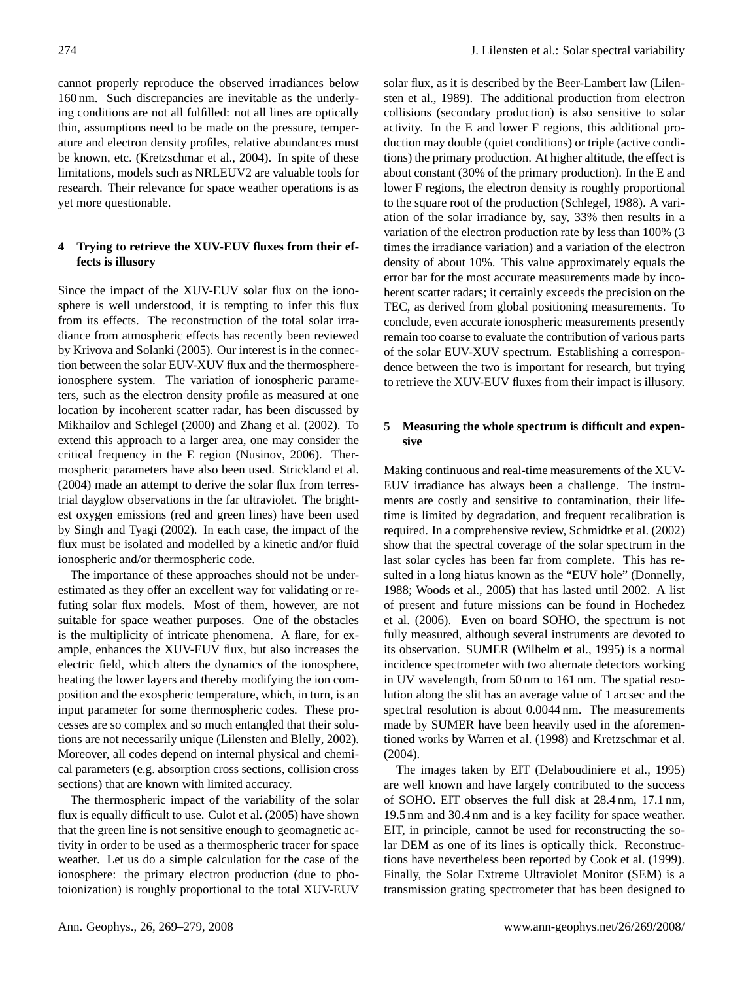cannot properly reproduce the observed irradiances below 160 nm. Such discrepancies are inevitable as the underlying conditions are not all fulfilled: not all lines are optically thin, assumptions need to be made on the pressure, temperature and electron density profiles, relative abundances must be known, etc. [\(Kretzschmar et al.,](#page-8-27) [2004\)](#page-8-27). In spite of these limitations, models such as NRLEUV2 are valuable tools for research. Their relevance for space weather operations is as yet more questionable.

# **4 Trying to retrieve the XUV-EUV fluxes from their effects is illusory**

Since the impact of the XUV-EUV solar flux on the ionosphere is well understood, it is tempting to infer this flux from its effects. The reconstruction of the total solar irradiance from atmospheric effects has recently been reviewed by [Krivova and Solanki](#page-8-28) [\(2005\)](#page-8-28). Our interest is in the connection between the solar EUV-XUV flux and the thermosphereionosphere system. The variation of ionospheric parameters, such as the electron density profile as measured at one location by incoherent scatter radar, has been discussed by [Mikhailov and Schlegel](#page-9-23) [\(2000\)](#page-9-23) and [Zhang et al.](#page-10-8) [\(2002\)](#page-10-8). To extend this approach to a larger area, one may consider the critical frequency in the E region [\(Nusinov,](#page-9-24) [2006\)](#page-9-24). Thermospheric parameters have also been used. [Strickland et al.](#page-9-25) [\(2004\)](#page-9-25) made an attempt to derive the solar flux from terrestrial dayglow observations in the far ultraviolet. The brightest oxygen emissions (red and green lines) have been used by [Singh and Tyagi](#page-9-26) [\(2002\)](#page-9-26). In each case, the impact of the flux must be isolated and modelled by a kinetic and/or fluid ionospheric and/or thermospheric code.

The importance of these approaches should not be underestimated as they offer an excellent way for validating or refuting solar flux models. Most of them, however, are not suitable for space weather purposes. One of the obstacles is the multiplicity of intricate phenomena. A flare, for example, enhances the XUV-EUV flux, but also increases the electric field, which alters the dynamics of the ionosphere, heating the lower layers and thereby modifying the ion composition and the exospheric temperature, which, in turn, is an input parameter for some thermospheric codes. These processes are so complex and so much entangled that their solutions are not necessarily unique [\(Lilensten and Blelly,](#page-9-3) [2002\)](#page-9-3). Moreover, all codes depend on internal physical and chemical parameters (e.g. absorption cross sections, collision cross sections) that are known with limited accuracy.

The thermospheric impact of the variability of the solar flux is equally difficult to use. [Culot et al.](#page-8-29) [\(2005\)](#page-8-29) have shown that the green line is not sensitive enough to geomagnetic activity in order to be used as a thermospheric tracer for space weather. Let us do a simple calculation for the case of the ionosphere: the primary electron production (due to photoionization) is roughly proportional to the total XUV-EUV solar flux, as it is described by the Beer-Lambert law [\(Lilen](#page-9-27)[sten et al.,](#page-9-27) [1989\)](#page-9-27). The additional production from electron collisions (secondary production) is also sensitive to solar activity. In the E and lower F regions, this additional production may double (quiet conditions) or triple (active conditions) the primary production. At higher altitude, the effect is about constant (30% of the primary production). In the E and lower F regions, the electron density is roughly proportional to the square root of the production [\(Schlegel,](#page-9-28) [1988\)](#page-9-28). A variation of the solar irradiance by, say, 33% then results in a variation of the electron production rate by less than 100% (3 times the irradiance variation) and a variation of the electron density of about 10%. This value approximately equals the error bar for the most accurate measurements made by incoherent scatter radars; it certainly exceeds the precision on the TEC, as derived from global positioning measurements. To conclude, even accurate ionospheric measurements presently remain too coarse to evaluate the contribution of various parts of the solar EUV-XUV spectrum. Establishing a correspondence between the two is important for research, but trying to retrieve the XUV-EUV fluxes from their impact is illusory.

# **5 Measuring the whole spectrum is difficult and expensive**

Making continuous and real-time measurements of the XUV-EUV irradiance has always been a challenge. The instruments are costly and sensitive to contamination, their lifetime is limited by degradation, and frequent recalibration is required. In a comprehensive review, [Schmidtke et al.](#page-9-29) [\(2002\)](#page-9-29) show that the spectral coverage of the solar spectrum in the last solar cycles has been far from complete. This has resulted in a long hiatus known as the "EUV hole" [\(Donnelly,](#page-8-30) [1988;](#page-8-30) [Woods et al.,](#page-10-1) [2005\)](#page-10-1) that has lasted until 2002. A list of present and future missions can be found in [Hochedez](#page-8-31) [et al.](#page-8-31) [\(2006\)](#page-8-31). Even on board SOHO, the spectrum is not fully measured, although several instruments are devoted to its observation. SUMER [\(Wilhelm et al.,](#page-10-9) [1995\)](#page-10-9) is a normal incidence spectrometer with two alternate detectors working in UV wavelength, from 50 nm to 161 nm. The spatial resolution along the slit has an average value of 1 arcsec and the spectral resolution is about 0.0044 nm. The measurements made by SUMER have been heavily used in the aforementioned works by [Warren et al.](#page-10-7) [\(1998\)](#page-10-7) and [Kretzschmar et al.](#page-8-27) [\(2004\)](#page-8-27).

The images taken by EIT [\(Delaboudiniere et al.,](#page-8-19) [1995\)](#page-8-19) are well known and have largely contributed to the success of SOHO. EIT observes the full disk at 28.4 nm, 17.1 nm, 19.5 nm and 30.4 nm and is a key facility for space weather. EIT, in principle, cannot be used for reconstructing the solar DEM as one of its lines is optically thick. Reconstructions have nevertheless been reported by [Cook et al.](#page-8-32) [\(1999\)](#page-8-32). Finally, the Solar Extreme Ultraviolet Monitor (SEM) is a transmission grating spectrometer that has been designed to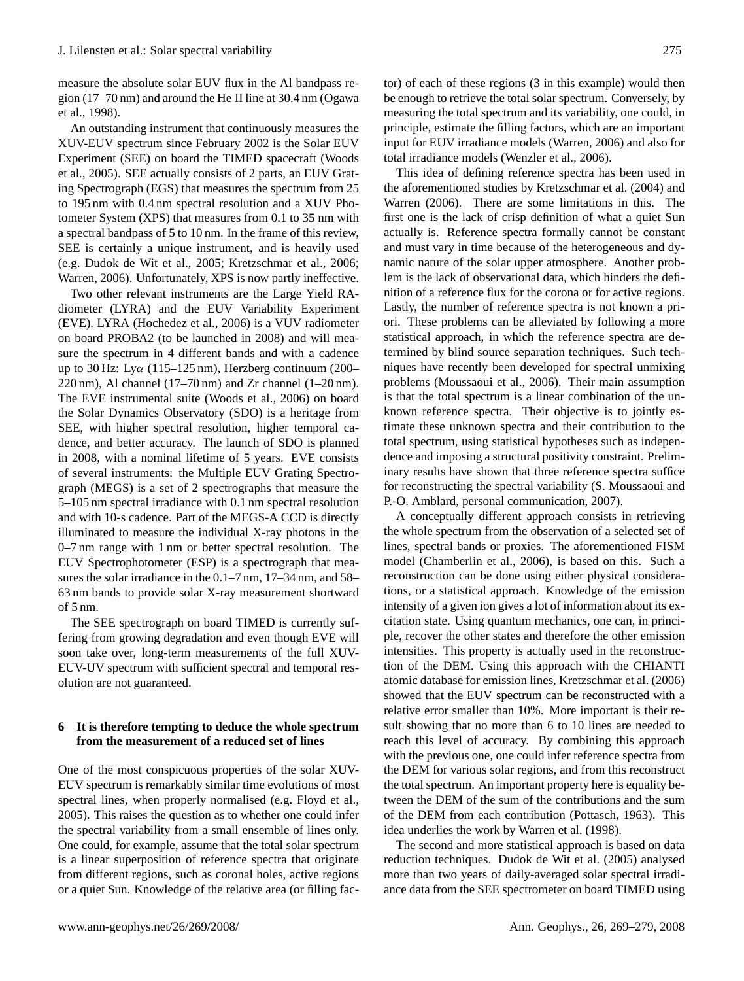measure the absolute solar EUV flux in the Al bandpass region (17–70 nm) and around the He II line at 30.4 nm [\(Ogawa](#page-9-30) [et al.,](#page-9-30) [1998\)](#page-9-30).

An outstanding instrument that continuously measures the XUV-EUV spectrum since February 2002 is the Solar EUV Experiment (SEE) on board the TIMED spacecraft [\(Woods](#page-10-1) [et al.,](#page-10-1) [2005\)](#page-10-1). SEE actually consists of 2 parts, an EUV Grating Spectrograph (EGS) that measures the spectrum from 25 to 195 nm with 0.4 nm spectral resolution and a XUV Photometer System (XPS) that measures from 0.1 to 35 nm with a spectral bandpass of 5 to 10 nm. In the frame of this review, SEE is certainly a unique instrument, and is heavily used (e.g. [Dudok de Wit et al.,](#page-8-33) [2005;](#page-8-33) [Kretzschmar et al.,](#page-8-26) [2006;](#page-8-26) [Warren,](#page-10-6) [2006\)](#page-10-6). Unfortunately, XPS is now partly ineffective.

Two other relevant instruments are the Large Yield RAdiometer (LYRA) and the EUV Variability Experiment (EVE). LYRA [\(Hochedez et al.,](#page-8-31) [2006\)](#page-8-31) is a VUV radiometer on board PROBA2 (to be launched in 2008) and will measure the spectrum in 4 different bands and with a cadence up to 30 Hz: Ly $\alpha$  (115–125 nm), Herzberg continuum (200– 220 nm), Al channel (17–70 nm) and Zr channel (1–20 nm). The EVE instrumental suite [\(Woods et al.,](#page-10-10) [2006\)](#page-10-10) on board the Solar Dynamics Observatory (SDO) is a heritage from SEE, with higher spectral resolution, higher temporal cadence, and better accuracy. The launch of SDO is planned in 2008, with a nominal lifetime of 5 years. EVE consists of several instruments: the Multiple EUV Grating Spectrograph (MEGS) is a set of 2 spectrographs that measure the 5–105 nm spectral irradiance with 0.1 nm spectral resolution and with 10-s cadence. Part of the MEGS-A CCD is directly illuminated to measure the individual X-ray photons in the 0–7 nm range with 1 nm or better spectral resolution. The EUV Spectrophotometer (ESP) is a spectrograph that measures the solar irradiance in the 0.1–7 nm, 17–34 nm, and 58– 63 nm bands to provide solar X-ray measurement shortward of 5 nm.

The SEE spectrograph on board TIMED is currently suffering from growing degradation and even though EVE will soon take over, long-term measurements of the full XUV-EUV-UV spectrum with sufficient spectral and temporal resolution are not guaranteed.

# **6 It is therefore tempting to deduce the whole spectrum from the measurement of a reduced set of lines**

One of the most conspicuous properties of the solar XUV-EUV spectrum is remarkably similar time evolutions of most spectral lines, when properly normalised (e.g. [Floyd et al.,](#page-8-20) [2005\)](#page-8-20). This raises the question as to whether one could infer the spectral variability from a small ensemble of lines only. One could, for example, assume that the total solar spectrum is a linear superposition of reference spectra that originate from different regions, such as coronal holes, active regions or a quiet Sun. Knowledge of the relative area (or filling factor) of each of these regions (3 in this example) would then be enough to retrieve the total solar spectrum. Conversely, by measuring the total spectrum and its variability, one could, in principle, estimate the filling factors, which are an important input for EUV irradiance models [\(Warren,](#page-10-6) [2006\)](#page-10-6) and also for total irradiance models [\(Wenzler et al.,](#page-10-11) [2006\)](#page-10-11).

This idea of defining reference spectra has been used in the aforementioned studies by [Kretzschmar et al.](#page-8-27) [\(2004\)](#page-8-27) and [Warren](#page-10-6) [\(2006\)](#page-10-6). There are some limitations in this. The first one is the lack of crisp definition of what a quiet Sun actually is. Reference spectra formally cannot be constant and must vary in time because of the heterogeneous and dynamic nature of the solar upper atmosphere. Another problem is the lack of observational data, which hinders the definition of a reference flux for the corona or for active regions. Lastly, the number of reference spectra is not known a priori. These problems can be alleviated by following a more statistical approach, in which the reference spectra are determined by blind source separation techniques. Such techniques have recently been developed for spectral unmixing problems [\(Moussaoui et al.,](#page-9-31) [2006\)](#page-9-31). Their main assumption is that the total spectrum is a linear combination of the unknown reference spectra. Their objective is to jointly estimate these unknown spectra and their contribution to the total spectrum, using statistical hypotheses such as independence and imposing a structural positivity constraint. Preliminary results have shown that three reference spectra suffice for reconstructing the spectral variability (S. Moussaoui and P.-O. Amblard, personal communication, 2007).

A conceptually different approach consists in retrieving the whole spectrum from the observation of a selected set of lines, spectral bands or proxies. The aforementioned FISM model [\(Chamberlin et al.,](#page-8-25) [2006\)](#page-8-25), is based on this. Such a reconstruction can be done using either physical considerations, or a statistical approach. Knowledge of the emission intensity of a given ion gives a lot of information about its excitation state. Using quantum mechanics, one can, in principle, recover the other states and therefore the other emission intensities. This property is actually used in the reconstruction of the DEM. Using this approach with the CHIANTI atomic database for emission lines, [Kretzschmar et al.](#page-8-26) [\(2006\)](#page-8-26) showed that the EUV spectrum can be reconstructed with a relative error smaller than 10%. More important is their result showing that no more than 6 to 10 lines are needed to reach this level of accuracy. By combining this approach with the previous one, one could infer reference spectra from the DEM for various solar regions, and from this reconstruct the total spectrum. An important property here is equality between the DEM of the sum of the contributions and the sum of the DEM from each contribution [\(Pottasch,](#page-9-32) [1963\)](#page-9-32). This idea underlies the work by [Warren et al.](#page-10-7) [\(1998\)](#page-10-7).

The second and more statistical approach is based on data reduction techniques. [Dudok de Wit et al.](#page-8-33) [\(2005\)](#page-8-33) analysed more than two years of daily-averaged solar spectral irradiance data from the SEE spectrometer on board TIMED using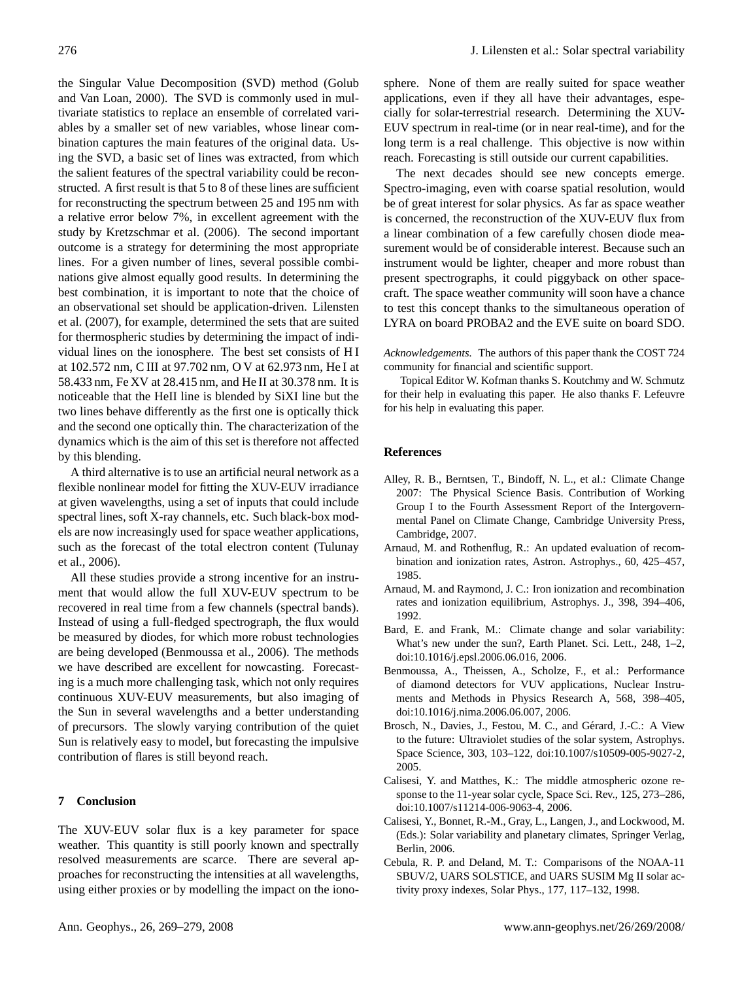the Singular Value Decomposition (SVD) method [\(Golub](#page-8-34) [and Van Loan,](#page-8-34) [2000\)](#page-8-34). The SVD is commonly used in multivariate statistics to replace an ensemble of correlated variables by a smaller set of new variables, whose linear combination captures the main features of the original data. Using the SVD, a basic set of lines was extracted, from which the salient features of the spectral variability could be reconstructed. A first result is that 5 to 8 of these lines are sufficient for reconstructing the spectrum between 25 and 195 nm with a relative error below 7%, in excellent agreement with the study by [Kretzschmar et al.](#page-8-26) [\(2006\)](#page-8-26). The second important outcome is a strategy for determining the most appropriate lines. For a given number of lines, several possible combinations give almost equally good results. In determining the best combination, it is important to note that the choice of an observational set should be application-driven. [Lilensten](#page-9-33) [et al.](#page-9-33) [\(2007\)](#page-9-33), for example, determined the sets that are suited for thermospheric studies by determining the impact of individual lines on the ionosphere. The best set consists of H I at 102.572 nm, C III at 97.702 nm, O V at 62.973 nm, He I at 58.433 nm, Fe XV at 28.415 nm, and He II at 30.378 nm. It is noticeable that the HeII line is blended by SiXI line but the two lines behave differently as the first one is optically thick and the second one optically thin. The characterization of the dynamics which is the aim of this set is therefore not affected by this blending.

A third alternative is to use an artificial neural network as a flexible nonlinear model for fitting the XUV-EUV irradiance at given wavelengths, using a set of inputs that could include spectral lines, soft X-ray channels, etc. Such black-box models are now increasingly used for space weather applications, such as the forecast of the total electron content [\(Tulunay](#page-9-34) [et al.,](#page-9-34) [2006\)](#page-9-34).

All these studies provide a strong incentive for an instrument that would allow the full XUV-EUV spectrum to be recovered in real time from a few channels (spectral bands). Instead of using a full-fledged spectrograph, the flux would be measured by diodes, for which more robust technologies are being developed [\(Benmoussa et al.,](#page-7-8) [2006\)](#page-7-8). The methods we have described are excellent for nowcasting. Forecasting is a much more challenging task, which not only requires continuous XUV-EUV measurements, but also imaging of the Sun in several wavelengths and a better understanding of precursors. The slowly varying contribution of the quiet Sun is relatively easy to model, but forecasting the impulsive contribution of flares is still beyond reach.

## **7 Conclusion**

The XUV-EUV solar flux is a key parameter for space weather. This quantity is still poorly known and spectrally resolved measurements are scarce. There are several approaches for reconstructing the intensities at all wavelengths, using either proxies or by modelling the impact on the iono-

sphere. None of them are really suited for space weather applications, even if they all have their advantages, especially for solar-terrestrial research. Determining the XUV-EUV spectrum in real-time (or in near real-time), and for the long term is a real challenge. This objective is now within reach. Forecasting is still outside our current capabilities.

The next decades should see new concepts emerge. Spectro-imaging, even with coarse spatial resolution, would be of great interest for solar physics. As far as space weather is concerned, the reconstruction of the XUV-EUV flux from a linear combination of a few carefully chosen diode measurement would be of considerable interest. Because such an instrument would be lighter, cheaper and more robust than present spectrographs, it could piggyback on other spacecraft. The space weather community will soon have a chance to test this concept thanks to the simultaneous operation of LYRA on board PROBA2 and the EVE suite on board SDO.

*Acknowledgements.* The authors of this paper thank the COST 724 community for financial and scientific support.

Topical Editor W. Kofman thanks S. Koutchmy and W. Schmutz for their help in evaluating this paper. He also thanks F. Lefeuvre for his help in evaluating this paper.

### **References**

- <span id="page-7-2"></span>Alley, R. B., Berntsen, T., Bindoff, N. L., et al.: Climate Change 2007: The Physical Science Basis. Contribution of Working Group I to the Fourth Assessment Report of the Intergovernmental Panel on Climate Change, Cambridge University Press, Cambridge, 2007.
- <span id="page-7-6"></span>Arnaud, M. and Rothenflug, R.: An updated evaluation of recombination and ionization rates, Astron. Astrophys., 60, 425–457, 1985.
- <span id="page-7-7"></span>Arnaud, M. and Raymond, J. C.: Iron ionization and recombination rates and ionization equilibrium, Astrophys. J., 398, 394–406, 1992.
- <span id="page-7-0"></span>Bard, E. and Frank, M.: Climate change and solar variability: What's new under the sun?, Earth Planet. Sci. Lett., 248, 1–2, doi:10.1016/j.epsl.2006.06.016, 2006.
- <span id="page-7-8"></span>Benmoussa, A., Theissen, A., Scholze, F., et al.: Performance of diamond detectors for VUV applications, Nuclear Instruments and Methods in Physics Research A, 568, 398–405, doi:10.1016/j.nima.2006.06.007, 2006.
- <span id="page-7-4"></span>Brosch, N., Davies, J., Festou, M. C., and Gérard, J.-C.: A View to the future: Ultraviolet studies of the solar system, Astrophys. Space Science, 303, 103–122, doi:10.1007/s10509-005-9027-2, 2005.
- <span id="page-7-3"></span>Calisesi, Y. and Matthes, K.: The middle atmospheric ozone response to the 11-year solar cycle, Space Sci. Rev., 125, 273–286, doi:10.1007/s11214-006-9063-4, 2006.
- <span id="page-7-1"></span>Calisesi, Y., Bonnet, R.-M., Gray, L., Langen, J., and Lockwood, M. (Eds.): Solar variability and planetary climates, Springer Verlag, Berlin, 2006.
- <span id="page-7-5"></span>Cebula, R. P. and Deland, M. T.: Comparisons of the NOAA-11 SBUV/2, UARS SOLSTICE, and UARS SUSIM Mg II solar activity proxy indexes, Solar Phys., 177, 117–132, 1998.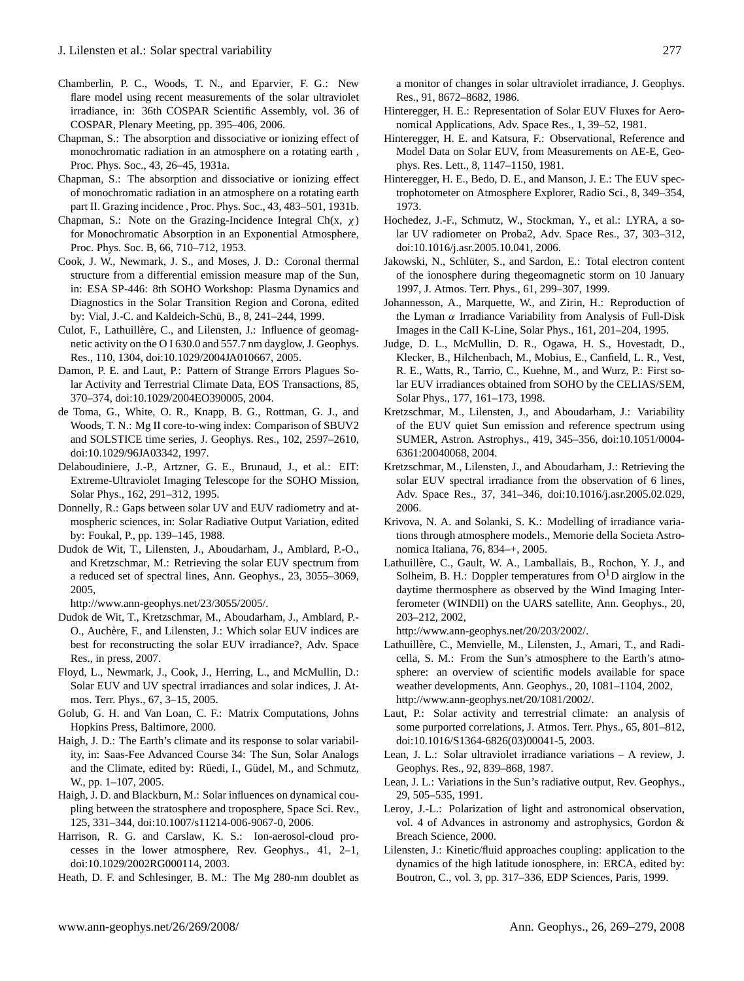- <span id="page-8-25"></span>Chamberlin, P. C., Woods, T. N., and Eparvier, F. G.: New flare model using recent measurements of the solar ultraviolet irradiance, in: 36th COSPAR Scientific Assembly, vol. 36 of COSPAR, Plenary Meeting, pp. 395–406, 2006.
- <span id="page-8-1"></span>Chapman, S.: The absorption and dissociative or ionizing effect of monochromatic radiation in an atmosphere on a rotating earth , Proc. Phys. Soc., 43, 26–45, 1931a.
- <span id="page-8-2"></span>Chapman, S.: The absorption and dissociative or ionizing effect of monochromatic radiation in an atmosphere on a rotating earth part II. Grazing incidence , Proc. Phys. Soc., 43, 483–501, 1931b.
- <span id="page-8-3"></span>Chapman, S.: Note on the Grazing-Incidence Integral Ch(x,  $\chi$ ) for Monochromatic Absorption in an Exponential Atmosphere, Proc. Phys. Soc. B, 66, 710–712, 1953.
- <span id="page-8-32"></span>Cook, J. W., Newmark, J. S., and Moses, J. D.: Coronal thermal structure from a differential emission measure map of the Sun, in: ESA SP-446: 8th SOHO Workshop: Plasma Dynamics and Diagnostics in the Solar Transition Region and Corona, edited by: Vial, J.-C. and Kaldeich-Schü, B., 8, 241–244, 1999.
- <span id="page-8-29"></span>Culot, F., Lathuillère, C., and Lilensten, J.: Influence of geomagnetic activity on the O I 630.0 and 557.7 nm dayglow, J. Geophys. Res., 110, 1304, doi:10.1029/2004JA010667, 2005.
- <span id="page-8-12"></span>Damon, P. E. and Laut, P.: Pattern of Strange Errors Plagues Solar Activity and Terrestrial Climate Data, EOS Transactions, 85, 370–374, doi:10.1029/2004EO390005, 2004.
- <span id="page-8-17"></span>de Toma, G., White, O. R., Knapp, B. G., Rottman, G. J., and Woods, T. N.: Mg II core-to-wing index: Comparison of SBUV2 and SOLSTICE time series, J. Geophys. Res., 102, 2597–2610, doi:10.1029/96JA03342, 1997.
- <span id="page-8-19"></span>Delaboudiniere, J.-P., Artzner, G. E., Brunaud, J., et al.: EIT: Extreme-Ultraviolet Imaging Telescope for the SOHO Mission, Solar Phys., 162, 291–312, 1995.
- <span id="page-8-30"></span>Donnelly, R.: Gaps between solar UV and EUV radiometry and atmospheric sciences, in: Solar Radiative Output Variation, edited by: Foukal, P., pp. 139–145, 1988.
- <span id="page-8-33"></span>Dudok de Wit, T., Lilensten, J., Aboudarham, J., Amblard, P.-O., and Kretzschmar, M.: Retrieving the solar EUV spectrum from a reduced set of spectral lines, Ann. Geophys., 23, 3055–3069, 2005,

[http://www.ann-geophys.net/23/3055/2005/.](http://www.ann-geophys.net/23/3055/2005/)

- <span id="page-8-24"></span>Dudok de Wit, T., Kretzschmar, M., Aboudarham, J., Amblard, P.- O., Auchere, F., and Lilensten, J.: Which solar EUV indices are ` best for reconstructing the solar EUV irradiance?, Adv. Space Res., in press, 2007.
- <span id="page-8-20"></span>Floyd, L., Newmark, J., Cook, J., Herring, L., and McMullin, D.: Solar EUV and UV spectral irradiances and solar indices, J. Atmos. Terr. Phys., 67, 3–15, 2005.
- <span id="page-8-34"></span>Golub, G. H. and Van Loan, C. F.: Matrix Computations, Johns Hopkins Press, Baltimore, 2000.
- <span id="page-8-8"></span>Haigh, J. D.: The Earth's climate and its response to solar variability, in: Saas-Fee Advanced Course 34: The Sun, Solar Analogs and the Climate, edited by: Rüedi, I., Güdel, M., and Schmutz, W., pp. 1-107, 2005.
- <span id="page-8-9"></span>Haigh, J. D. and Blackburn, M.: Solar influences on dynamical coupling between the stratosphere and troposphere, Space Sci. Rev., 125, 331–344, doi:10.1007/s11214-006-9067-0, 2006.
- <span id="page-8-10"></span>Harrison, R. G. and Carslaw, K. S.: Ion-aerosol-cloud processes in the lower atmosphere, Rev. Geophys., 41, 2–1, doi:10.1029/2002RG000114, 2003.

<span id="page-8-16"></span>Heath, D. F. and Schlesinger, B. M.: The Mg 280-nm doublet as

a monitor of changes in solar ultraviolet irradiance, J. Geophys. Res., 91, 8672–8682, 1986.

- <span id="page-8-22"></span>Hinteregger, H. E.: Representation of Solar EUV Fluxes for Aeronomical Applications, Adv. Space Res., 1, 39–52, 1981.
- <span id="page-8-23"></span>Hinteregger, H. E. and Katsura, F.: Observational, Reference and Model Data on Solar EUV, from Measurements on AE-E, Geophys. Res. Lett., 8, 1147–1150, 1981.
- <span id="page-8-21"></span>Hinteregger, H. E., Bedo, D. E., and Manson, J. E.: The EUV spectrophotometer on Atmosphere Explorer, Radio Sci., 8, 349–354, 1973.
- <span id="page-8-31"></span>Hochedez, J.-F., Schmutz, W., Stockman, Y., et al.: LYRA, a solar UV radiometer on Proba2, Adv. Space Res., 37, 303–312, doi:10.1016/j.asr.2005.10.041, 2006.
- <span id="page-8-7"></span>Jakowski, N., Schlüter, S., and Sardon, E.: Total electron content of the ionosphere during thegeomagnetic storm on 10 January 1997, J. Atmos. Terr. Phys., 61, 299–307, 1999.
- <span id="page-8-15"></span>Johannesson, A., Marquette, W., and Zirin, H.: Reproduction of the Lyman  $\alpha$  Irradiance Variability from Analysis of Full-Disk Images in the CaII K-Line, Solar Phys., 161, 201–204, 1995.
- <span id="page-8-18"></span>Judge, D. L., McMullin, D. R., Ogawa, H. S., Hovestadt, D., Klecker, B., Hilchenbach, M., Mobius, E., Canfield, L. R., Vest, R. E., Watts, R., Tarrio, C., Kuehne, M., and Wurz, P.: First solar EUV irradiances obtained from SOHO by the CELIAS/SEM, Solar Phys., 177, 161–173, 1998.
- <span id="page-8-27"></span>Kretzschmar, M., Lilensten, J., and Aboudarham, J.: Variability of the EUV quiet Sun emission and reference spectrum using SUMER, Astron. Astrophys., 419, 345–356, doi:10.1051/0004- 6361:20040068, 2004.
- <span id="page-8-26"></span>Kretzschmar, M., Lilensten, J., and Aboudarham, J.: Retrieving the solar EUV spectral irradiance from the observation of 6 lines, Adv. Space Res., 37, 341–346, doi:10.1016/j.asr.2005.02.029, 2006.
- <span id="page-8-28"></span>Krivova, N. A. and Solanki, S. K.: Modelling of irradiance variations through atmosphere models., Memorie della Societa Astronomica Italiana, 76, 834–+, 2005.
- <span id="page-8-5"></span>Lathuillere, C., Gault, W. A., Lamballais, B., Rochon, Y. J., and ` Solheim, B. H.: Doppler temperatures from  $O<sup>1</sup>D$  airglow in the daytime thermosphere as observed by the Wind Imaging Interferometer (WINDII) on the UARS satellite, Ann. Geophys., 20, 203–212, 2002,

[http://www.ann-geophys.net/20/203/2002/.](http://www.ann-geophys.net/20/203/2002/)

- <span id="page-8-0"></span>Lathuillère, C., Menvielle, M., Lilensten, J., Amari, T., and Radicella, S. M.: From the Sun's atmosphere to the Earth's atmosphere: an overview of scientific models available for space weather developments, Ann. Geophys., 20, 1081–1104, 2002, [http://www.ann-geophys.net/20/1081/2002/.](http://www.ann-geophys.net/20/1081/2002/)
- <span id="page-8-11"></span>Laut, P.: Solar activity and terrestrial climate: an analysis of some purported correlations, J. Atmos. Terr. Phys., 65, 801–812, doi:10.1016/S1364-6826(03)00041-5, 2003.
- <span id="page-8-13"></span>Lean, J. L.: Solar ultraviolet irradiance variations – A review, J. Geophys. Res., 92, 839–868, 1987.
- <span id="page-8-14"></span>Lean, J. L.: Variations in the Sun's radiative output, Rev. Geophys., 29, 505–535, 1991.
- <span id="page-8-6"></span>Leroy, J.-L.: Polarization of light and astronomical observation, vol. 4 of Advances in astronomy and astrophysics, Gordon & Breach Science, 2000.
- <span id="page-8-4"></span>Lilensten, J.: Kinetic/fluid approaches coupling: application to the dynamics of the high latitude ionosphere, in: ERCA, edited by: Boutron, C., vol. 3, pp. 317–336, EDP Sciences, Paris, 1999.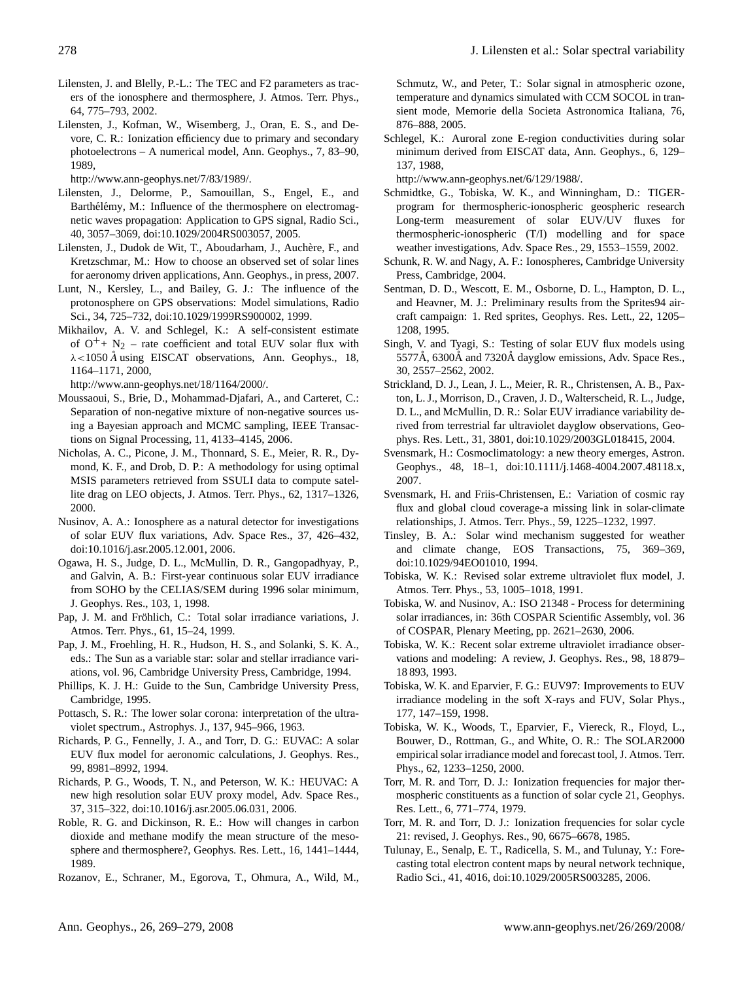- <span id="page-9-3"></span>Lilensten, J. and Blelly, P.-L.: The TEC and F2 parameters as tracers of the ionosphere and thermosphere, J. Atmos. Terr. Phys., 64, 775–793, 2002.
- <span id="page-9-27"></span>Lilensten, J., Kofman, W., Wisemberg, J., Oran, E. S., and Devore, C. R.: Ionization efficiency due to primary and secondary photoelectrons – A numerical model, Ann. Geophys., 7, 83–90, 1989,

[http://www.ann-geophys.net/7/83/1989/.](http://www.ann-geophys.net/7/83/1989/)

- <span id="page-9-5"></span>Lilensten, J., Delorme, P., Samouillan, S., Engel, E., and Barthélémy, M.: Influence of the thermosphere on electromagnetic waves propagation: Application to GPS signal, Radio Sci., 40, 3057–3069, doi:10.1029/2004RS003057, 2005.
- <span id="page-9-33"></span>Lilensten, J., Dudok de Wit, T., Aboudarham, J., Auchère, F., and Kretzschmar, M.: How to choose an observed set of solar lines for aeronomy driven applications, Ann. Geophys., in press, 2007.
- <span id="page-9-4"></span>Lunt, N., Kersley, L., and Bailey, G. J.: The influence of the protonosphere on GPS observations: Model simulations, Radio Sci., 34, 725–732, doi:10.1029/1999RS900002, 1999.
- <span id="page-9-23"></span>Mikhailov, A. V. and Schlegel, K.: A self-consistent estimate of  $O^+$ + N<sub>2</sub> – rate coefficient and total EUV solar flux with  $\lambda$ <1050 Å using EISCAT observations, Ann. Geophys., 18, 1164–1171, 2000,

[http://www.ann-geophys.net/18/1164/2000/.](http://www.ann-geophys.net/18/1164/2000/)

- <span id="page-9-31"></span>Moussaoui, S., Brie, D., Mohammad-Djafari, A., and Carteret, C.: Separation of non-negative mixture of non-negative sources using a Bayesian approach and MCMC sampling, IEEE Transactions on Signal Processing, 11, 4133–4145, 2006.
- <span id="page-9-2"></span>Nicholas, A. C., Picone, J. M., Thonnard, S. E., Meier, R. R., Dymond, K. F., and Drob, D. P.: A methodology for using optimal MSIS parameters retrieved from SSULI data to compute satellite drag on LEO objects, J. Atmos. Terr. Phys., 62, 1317–1326, 2000.
- <span id="page-9-24"></span>Nusinov, A. A.: Ionosphere as a natural detector for investigations of solar EUV flux variations, Adv. Space Res., 37, 426–432, doi:10.1016/j.asr.2005.12.001, 2006.
- <span id="page-9-30"></span>Ogawa, H. S., Judge, D. L., McMullin, D. R., Gangopadhyay, P., and Galvin, A. B.: First-year continuous solar EUV irradiance from SOHO by the CELIAS/SEM during 1996 solar minimum, J. Geophys. Res., 103, 1, 1998.
- <span id="page-9-14"></span>Pap, J. M. and Fröhlich, C.: Total solar irradiance variations, J. Atmos. Terr. Phys., 61, 15–24, 1999.
- <span id="page-9-13"></span>Pap, J. M., Froehling, H. R., Hudson, H. S., and Solanki, S. K. A., eds.: The Sun as a variable star: solar and stellar irradiance variations, vol. 96, Cambridge University Press, Cambridge, 1994.
- <span id="page-9-15"></span>Phillips, K. J. H.: Guide to the Sun, Cambridge University Press, Cambridge, 1995.
- <span id="page-9-32"></span>Pottasch, S. R.: The lower solar corona: interpretation of the ultraviolet spectrum., Astrophys. J., 137, 945–966, 1963.
- <span id="page-9-21"></span>Richards, P. G., Fennelly, J. A., and Torr, D. G.: EUVAC: A solar EUV flux model for aeronomic calculations, J. Geophys. Res., 99, 8981–8992, 1994.
- <span id="page-9-22"></span>Richards, P. G., Woods, T. N., and Peterson, W. K.: HEUVAC: A new high resolution solar EUV proxy model, Adv. Space Res., 37, 315–322, doi:10.1016/j.asr.2005.06.031, 2006.
- <span id="page-9-10"></span>Roble, R. G. and Dickinson, R. E.: How will changes in carbon dioxide and methane modify the mean structure of the mesosphere and thermosphere?, Geophys. Res. Lett., 16, 1441–1444, 1989.
- <span id="page-9-8"></span>Rozanov, E., Schraner, M., Egorova, T., Ohmura, A., Wild, M.,

Schmutz, W., and Peter, T.: Solar signal in atmospheric ozone, temperature and dynamics simulated with CCM SOCOL in transient mode, Memorie della Societa Astronomica Italiana, 76, 876–888, 2005.

<span id="page-9-28"></span>Schlegel, K.: Auroral zone E-region conductivities during solar minimum derived from EISCAT data, Ann. Geophys., 6, 129– 137, 1988,

[http://www.ann-geophys.net/6/129/1988/.](http://www.ann-geophys.net/6/129/1988/)

- <span id="page-9-29"></span>Schmidtke, G., Tobiska, W. K., and Winningham, D.: TIGERprogram for thermospheric-ionospheric geospheric research Long-term measurement of solar EUV/UV fluxes for thermospheric-ionospheric (T/I) modelling and for space weather investigations, Adv. Space Res., 29, 1553–1559, 2002.
- <span id="page-9-1"></span>Schunk, R. W. and Nagy, A. F.: Ionospheres, Cambridge University Press, Cambridge, 2004.
- <span id="page-9-11"></span>Sentman, D. D., Wescott, E. M., Osborne, D. L., Hampton, D. L., and Heavner, M. J.: Preliminary results from the Sprites94 aircraft campaign: 1. Red sprites, Geophys. Res. Lett., 22, 1205– 1208, 1995.
- <span id="page-9-26"></span>Singh, V. and Tyagi, S.: Testing of solar EUV flux models using  $5577\text{\AA}$ , 6300 $\text{\AA}$  and 7320 $\text{\AA}$  dayglow emissions, Adv. Space Res., 30, 2557–2562, 2002.
- <span id="page-9-25"></span>Strickland, D. J., Lean, J. L., Meier, R. R., Christensen, A. B., Paxton, L. J., Morrison, D., Craven, J. D., Walterscheid, R. L., Judge, D. L., and McMullin, D. R.: Solar EUV irradiance variability derived from terrestrial far ultraviolet dayglow observations, Geophys. Res. Lett., 31, 3801, doi:10.1029/2003GL018415, 2004.
- <span id="page-9-7"></span>Svensmark, H.: Cosmoclimatology: a new theory emerges, Astron. Geophys., 48, 18–1, doi:10.1111/j.1468-4004.2007.48118.x, 2007.
- <span id="page-9-6"></span>Svensmark, H. and Friis-Christensen, E.: Variation of cosmic ray flux and global cloud coverage-a missing link in solar-climate relationships, J. Atmos. Terr. Phys., 59, 1225–1232, 1997.
- <span id="page-9-9"></span>Tinsley, B. A.: Solar wind mechanism suggested for weather and climate change, EOS Transactions, 75, 369–369, doi:10.1029/94EO01010, 1994.
- <span id="page-9-18"></span>Tobiska, W. K.: Revised solar extreme ultraviolet flux model, J. Atmos. Terr. Phys., 53, 1005–1018, 1991.
- <span id="page-9-0"></span>Tobiska, W. and Nusinov, A.: ISO 21348 - Process for determining solar irradiances, in: 36th COSPAR Scientific Assembly, vol. 36 of COSPAR, Plenary Meeting, pp. 2621–2630, 2006.
- <span id="page-9-12"></span>Tobiska, W. K.: Recent solar extreme ultraviolet irradiance observations and modeling: A review, J. Geophys. Res., 98, 18 879– 18 893, 1993.
- <span id="page-9-19"></span>Tobiska, W. K. and Eparvier, F. G.: EUV97: Improvements to EUV irradiance modeling in the soft X-rays and FUV, Solar Phys., 177, 147–159, 1998.
- <span id="page-9-20"></span>Tobiska, W. K., Woods, T., Eparvier, F., Viereck, R., Floyd, L., Bouwer, D., Rottman, G., and White, O. R.: The SOLAR2000 empirical solar irradiance model and forecast tool, J. Atmos. Terr. Phys., 62, 1233–1250, 2000.
- <span id="page-9-16"></span>Torr, M. R. and Torr, D. J.: Ionization frequencies for major thermospheric constituents as a function of solar cycle 21, Geophys. Res. Lett., 6, 771–774, 1979.
- <span id="page-9-17"></span>Torr, M. R. and Torr, D. J.: Ionization frequencies for solar cycle 21: revised, J. Geophys. Res., 90, 6675–6678, 1985.
- <span id="page-9-34"></span>Tulunay, E., Senalp, E. T., Radicella, S. M., and Tulunay, Y.: Forecasting total electron content maps by neural network technique, Radio Sci., 41, 4016, doi:10.1029/2005RS003285, 2006.